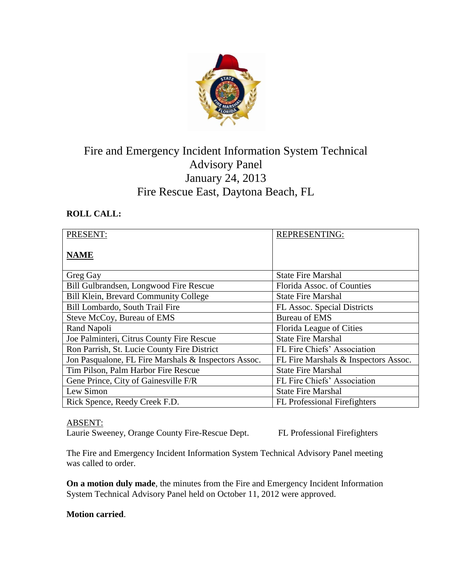

# Fire and Emergency Incident Information System Technical Advisory Panel January 24, 2013 Fire Rescue East, Daytona Beach, FL

# **ROLL CALL:**

| PRESENT:                                             | <b>REPRESENTING:</b>                 |
|------------------------------------------------------|--------------------------------------|
| <b>NAME</b>                                          |                                      |
| Greg Gay                                             | <b>State Fire Marshal</b>            |
| Bill Gulbrandsen, Longwood Fire Rescue               | Florida Assoc. of Counties           |
| <b>Bill Klein, Brevard Community College</b>         | <b>State Fire Marshal</b>            |
| Bill Lombardo, South Trail Fire                      | <b>FL Assoc. Special Districts</b>   |
| Steve McCoy, Bureau of EMS                           | <b>Bureau of EMS</b>                 |
| Rand Napoli                                          | Florida League of Cities             |
| Joe Palminteri, Citrus County Fire Rescue            | <b>State Fire Marshal</b>            |
| Ron Parrish, St. Lucie County Fire District          | FL Fire Chiefs' Association          |
| Jon Pasqualone, FL Fire Marshals & Inspectors Assoc. | FL Fire Marshals & Inspectors Assoc. |
| Tim Pilson, Palm Harbor Fire Rescue                  | <b>State Fire Marshal</b>            |
| Gene Prince, City of Gainesville F/R                 | FL Fire Chiefs' Association          |
| Lew Simon                                            | <b>State Fire Marshal</b>            |
| Rick Spence, Reedy Creek F.D.                        | FL Professional Firefighters         |

# ABSENT:

Laurie Sweeney, Orange County Fire-Rescue Dept. FL Professional Firefighters

The Fire and Emergency Incident Information System Technical Advisory Panel meeting was called to order.

**On a motion duly made**, the minutes from the Fire and Emergency Incident Information System Technical Advisory Panel held on October 11, 2012 were approved.

### **Motion carried**.